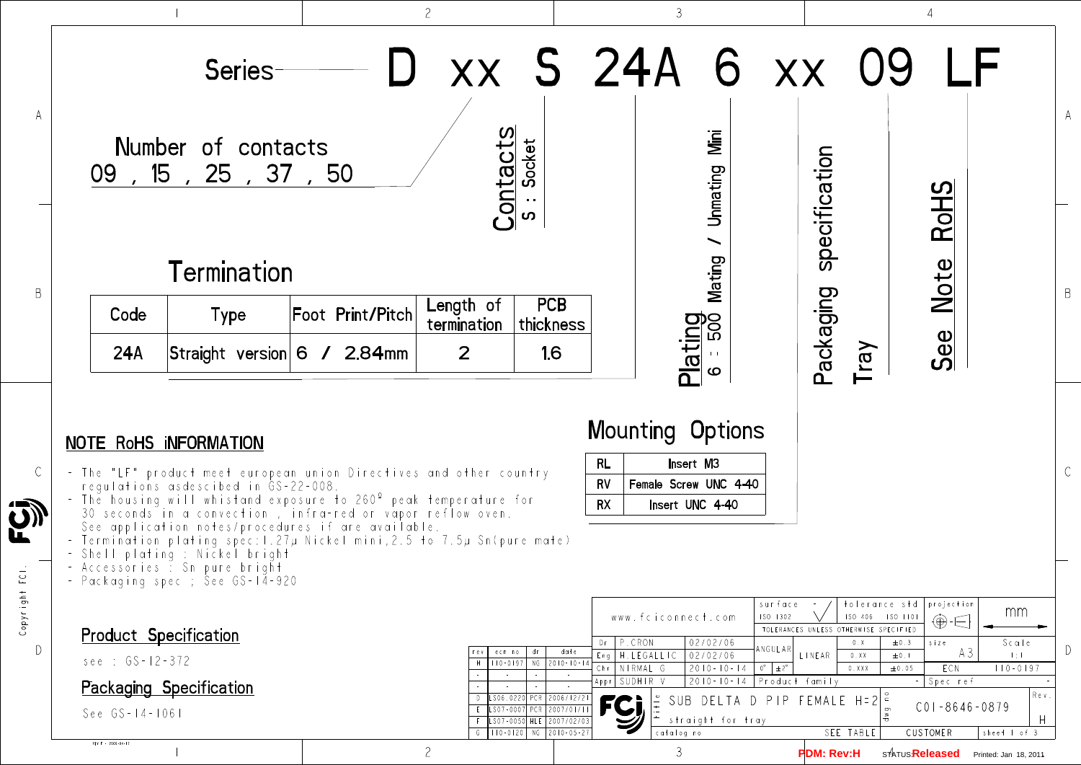C

D

## $Copyr ighf FCl$ Copyright FCI.



| 09                 | Series<br>Number of contacts<br>, 15, 25, 37, 50                                                                                                                                                                                                                                                                                                                                                                                                                                |                  | Contacts                 | Socket<br>$\mathbf{\Omega}$                                                                                         |                                 | xx S 24A 6 xx<br>Mini<br>Unmating<br>$\overline{\phantom{0}}$                    |                                               | specification                                   |                        | <b>RoHS</b>                                   |                       |                |
|--------------------|---------------------------------------------------------------------------------------------------------------------------------------------------------------------------------------------------------------------------------------------------------------------------------------------------------------------------------------------------------------------------------------------------------------------------------------------------------------------------------|------------------|--------------------------|---------------------------------------------------------------------------------------------------------------------|---------------------------------|----------------------------------------------------------------------------------|-----------------------------------------------|-------------------------------------------------|------------------------|-----------------------------------------------|-----------------------|----------------|
|                    | <b>Termination</b>                                                                                                                                                                                                                                                                                                                                                                                                                                                              |                  |                          |                                                                                                                     |                                 | Mating                                                                           |                                               |                                                 |                        | Note                                          |                       |                |
| Code               | <b>Type</b>                                                                                                                                                                                                                                                                                                                                                                                                                                                                     | Foot Print/Pitch | Length of<br>termination | <b>PCB</b><br>thickness                                                                                             |                                 |                                                                                  |                                               |                                                 |                        |                                               |                       | $\overline{B}$ |
| <b>24A</b>         | Straight version 6 / 2.84mm                                                                                                                                                                                                                                                                                                                                                                                                                                                     |                  | 2                        | 16                                                                                                                  |                                 | Plating<br>Coutta                                                                |                                               | Packaging                                       | Tray                   | See                                           |                       |                |
|                    | NOTE RoHS INFORMATION<br>- The "LF" product meet european union Directives and other country-<br>regulations asdescibed in GS-22-008.<br>- The housing will whistand exposure to 260° peak temperature for<br>30 seconds in a convection, infra-red or vapor reflow oven.<br>See application notes/procedures if are available.<br>- Termination plating spec: 1.27µ Nickel mini,2.5 to 7.5µ Sn(pure mate)<br>– Shell plating : Nickel bright<br>- Accessories : Sn pure bright |                  |                          |                                                                                                                     | RL<br>RV<br><b>RX</b>           | <b>Mounting Options</b><br>Insert M3<br>Female Screw UNC 4-40<br>Insert UNC 4-40 |                                               |                                                 |                        |                                               |                       |                |
|                    | – Packaging spec ; See GS-14-920                                                                                                                                                                                                                                                                                                                                                                                                                                                |                  |                          |                                                                                                                     |                                 | www.fciconnect.com                                                               | surface<br>ISO 1302                           |                                                 | ISO 406    ISO    IIOI | tolerance std projection<br>⊕∙∈               | mm                    |                |
|                    | <b>Product Specification</b>                                                                                                                                                                                                                                                                                                                                                                                                                                                    |                  | ecn no<br>rev            | date<br>dr                                                                                                          | Dr                              | P.CRON<br>02/02/06<br>Eng   H. LEGALLIC<br>02/02/06                              | ANGULAR                                       | TOLERANCES UNLESS OTHERWISE SPECIFIED<br>LINEAR | 0. X<br>0.XX           | $s$ i $z$ $e$<br>$\pm 0.3$<br>A3<br>$\pm$ 0.1 | Sca!e<br>$-1 \div 1$  |                |
|                    | $see : GS-12-372$<br><b>Packaging Specification</b>                                                                                                                                                                                                                                                                                                                                                                                                                             |                  | H                        | $110 - 0197$ NG 2010-10-14                                                                                          | Chr   NIRMAL G<br>Appr SUDHIR V | $2010 - 10 - 14$<br>$2010 - 10 - 14$                                             | $0^{\circ}$ $\pm 2^{\circ}$<br>Product family |                                                 | 0.XXX                  | ECN<br>±0.05<br>Spec ref                      | $110 - 0197$          |                |
| REV F - 2006-04-17 | $See GS - 14 - 1061$                                                                                                                                                                                                                                                                                                                                                                                                                                                            |                  |                          | LS06.0220 PCR 2006/12/21<br>LS07-0007 PCR 2007/01/1<br>LS07-0050 HLE 2007/02/03<br>$G$   110-0120   NG   2010-05-27 | <b>FCi</b>                      | straight for tray<br>catalog no                                                  | SUB DELTA D PIP FEMALE H=2 $ z $              |                                                 | SEE TABLE              | $CO1 - 8646 - 0879$<br>CUSTOMER               | sheet I of 3          | Re v<br>$\Box$ |
|                    |                                                                                                                                                                                                                                                                                                                                                                                                                                                                                 |                  | $\overline{c}$           |                                                                                                                     |                                 | 3                                                                                |                                               | <b>PDM: Rev:H</b>                               |                        | s1A⊤∪s <mark>Released</mark>                  | Printed: Jan 18, 2011 |                |

| RL. | Insert M3             |  |  |  |  |  |  |
|-----|-----------------------|--|--|--|--|--|--|
| RV  | Female Screw UNC 4-40 |  |  |  |  |  |  |
| RX  | Insert UNC 4-40       |  |  |  |  |  |  |

## NOTE RoHS iNFORMATION

| I |  |
|---|--|
|   |  |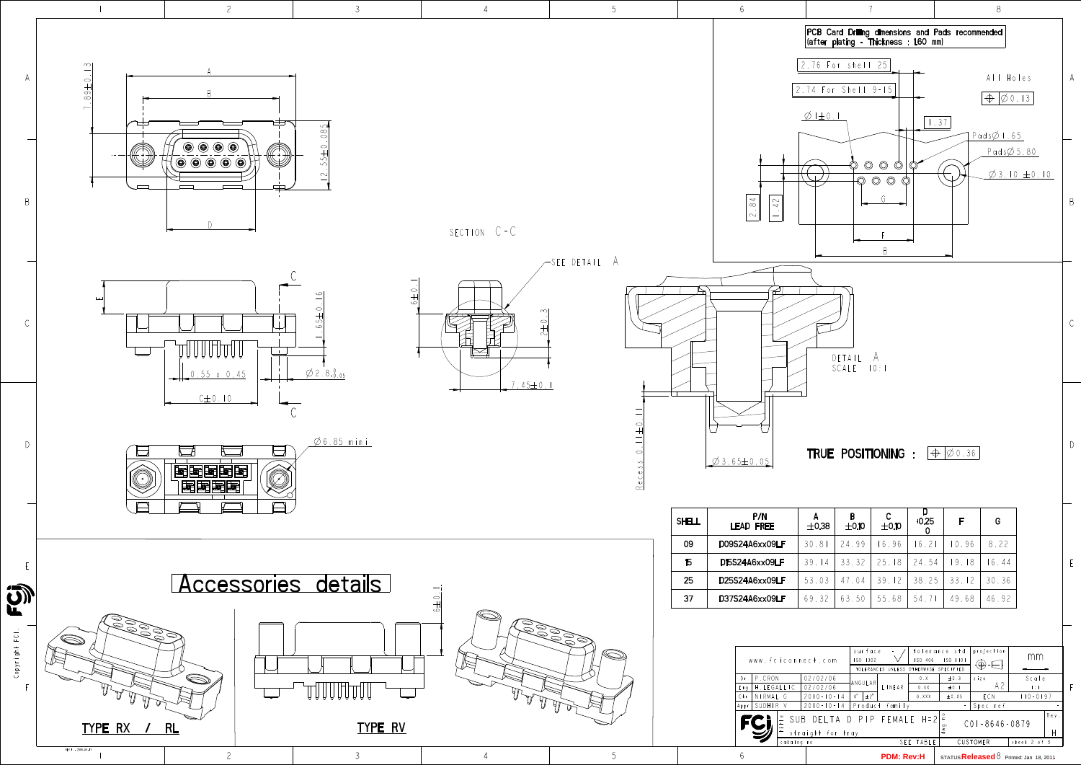F

E







|                                                    | www.fciconnect.com |                  | surface<br>ISO 406<br>ISO 1302<br>TOLERANCES UNLESS OTHERWISE SPECIFIED |                   |       | tolerance std<br>ISO 1101           | projection<br>$\circledast$ | mm                                                    |  |
|----------------------------------------------------|--------------------|------------------|-------------------------------------------------------------------------|-------------------|-------|-------------------------------------|-----------------------------|-------------------------------------------------------|--|
| P.CRON<br>Dr                                       |                    | 02/02/06         |                                                                         |                   | 0. X  | $\pm 0.3$                           | $s$ i $z$ e                 | Scale                                                 |  |
| Eng                                                | .LEGALLIC          | 02/02/06         | ANGULAR<br>$0^{\circ}$<br>$\pm 2^{\circ}$                               | LINEAR            | 0.XX  | $\pm 0.1$                           | A2                          | $\pm$ : $\pm$                                         |  |
| Chr                                                | NIRMAI G           | $2010 - 10 - 14$ |                                                                         |                   | 0.XXX | ±0.05                               | ECN                         | $10 - 0197$                                           |  |
| SUDHIR V<br>$2010 - 10 - 1$<br>-4<br>Appr          |                    |                  | Product<br>family                                                       |                   |       |                                     | Spec ref                    |                                                       |  |
| DELTA D PIP FEMALE H=2<br>SUB<br>straight for tray |                    |                  |                                                                         |                   |       | $\circ$<br>তা<br>$\frac{8}{\sigma}$ | $CO1 - 8646 - 0879$         | Rev.                                                  |  |
| catalog no                                         |                    |                  | SEE TABLE                                                               |                   |       |                                     | CUSTOMER                    | sheet $2$ of $3$                                      |  |
|                                                    |                    |                  |                                                                         | <b>PDM: Rev:H</b> |       |                                     |                             | STATUS <b>Released</b> $\delta$ Printed: Jan 18, 2011 |  |

| <b>SHELL</b> | P/N<br><b>LEAD FREE</b> | А<br>$\pm$ 0.38 | B<br>$\pm$ 0.10 | C<br>$\pm$ 0.10 | $+0.25$ | F     | G     |
|--------------|-------------------------|-----------------|-----------------|-----------------|---------|-------|-------|
| 09           | D09S24A6xx09LF          | 30.81           | 24.99           | 16.96           | 16.21   | 10.96 | 8.22  |
| 15           | D15S24A6xx09LF          | 39.14           | 33.32           | 25.18           | 24.54   | 19.18 | 6.44  |
| 25           | D25S24A6xx09LF          | 53.03           | 47.04           | 39.12           | 38.25   | 33.12 | 30.36 |
| 37           | D37S24A6xx09LF          | 69.32           | 63.50           | 55.68           | 54.71   | 49.68 | 46.92 |